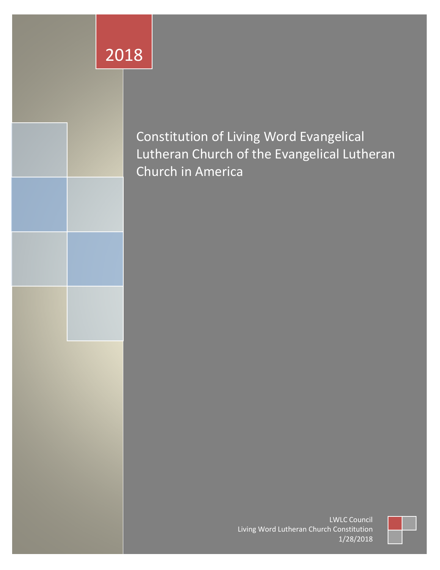# 2018



Constitution of Living Word Evangelical Lutheran Church of the Evangelical Lutheran Church in America

> LWLC Council Living Word Lutheran Church Constitution 1/28/2018

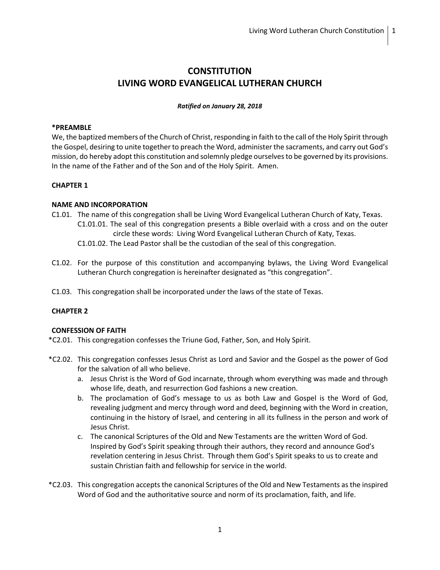## **CONSTITUTION LIVING WORD EVANGELICAL LUTHERAN CHURCH**

#### *Ratified on January 28, 2018*

#### **\*PREAMBLE**

We, the baptized members of the Church of Christ, responding in faith to the call of the Holy Spirit through the Gospel, desiring to unite together to preach the Word, administer the sacraments, and carry out God's mission, do hereby adopt this constitution and solemnly pledge ourselves to be governed by its provisions. In the name of the Father and of the Son and of the Holy Spirit. Amen.

## **CHAPTER 1**

#### **NAME AND INCORPORATION**

- C1.01. The name of this congregation shall be Living Word Evangelical Lutheran Church of Katy, Texas. C1.01.01. The seal of this congregation presents a Bible overlaid with a cross and on the outer
	- circle these words: Living Word Evangelical Lutheran Church of Katy, Texas.
	- C1.01.02. The Lead Pastor shall be the custodian of the seal of this congregation.
- C1.02. For the purpose of this constitution and accompanying bylaws, the Living Word Evangelical Lutheran Church congregation is hereinafter designated as "this congregation".
- C1.03. This congregation shall be incorporated under the laws of the state of Texas.

## **CHAPTER 2**

## **CONFESSION OF FAITH**

- \*C2.01. This congregation confesses the Triune God, Father, Son, and Holy Spirit.
- \*C2.02. This congregation confesses Jesus Christ as Lord and Savior and the Gospel as the power of God for the salvation of all who believe.
	- a. Jesus Christ is the Word of God incarnate, through whom everything was made and through whose life, death, and resurrection God fashions a new creation.
	- b. The proclamation of God's message to us as both Law and Gospel is the Word of God, revealing judgment and mercy through word and deed, beginning with the Word in creation, continuing in the history of Israel, and centering in all its fullness in the person and work of Jesus Christ.
	- c. The canonical Scriptures of the Old and New Testaments are the written Word of God. Inspired by God's Spirit speaking through their authors, they record and announce God's revelation centering in Jesus Christ. Through them God's Spirit speaks to us to create and sustain Christian faith and fellowship for service in the world.
- \*C2.03. This congregation accepts the canonical Scriptures of the Old and New Testaments as the inspired Word of God and the authoritative source and norm of its proclamation, faith, and life.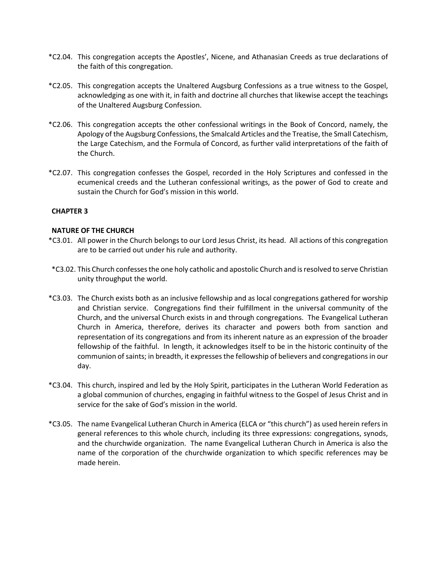- \*C2.04. This congregation accepts the Apostles', Nicene, and Athanasian Creeds as true declarations of the faith of this congregation.
- \*C2.05. This congregation accepts the Unaltered Augsburg Confessions as a true witness to the Gospel, acknowledging as one with it, in faith and doctrine all churches that likewise accept the teachings of the Unaltered Augsburg Confession.
- \*C2.06. This congregation accepts the other confessional writings in the Book of Concord, namely, the Apology of the Augsburg Confessions, the Smalcald Articles and the Treatise, the Small Catechism, the Large Catechism, and the Formula of Concord, as further valid interpretations of the faith of the Church.
- \*C2.07. This congregation confesses the Gospel, recorded in the Holy Scriptures and confessed in the ecumenical creeds and the Lutheran confessional writings, as the power of God to create and sustain the Church for God's mission in this world.

## **NATURE OF THE CHURCH**

- \*C3.01. All power in the Church belongs to our Lord Jesus Christ, its head. All actions of this congregation are to be carried out under his rule and authority.
- \*C3.02. This Church confesses the one holy catholic and apostolic Church and is resolved to serve Christian unity throughput the world.
- \*C3.03. The Church exists both as an inclusive fellowship and as local congregations gathered for worship and Christian service. Congregations find their fulfillment in the universal community of the Church, and the universal Church exists in and through congregations. The Evangelical Lutheran Church in America, therefore, derives its character and powers both from sanction and representation of its congregations and from its inherent nature as an expression of the broader fellowship of the faithful. In length, it acknowledges itself to be in the historic continuity of the communion of saints; in breadth, it expresses the fellowship of believers and congregations in our day.
- \*C3.04. This church, inspired and led by the Holy Spirit, participates in the Lutheran World Federation as a global communion of churches, engaging in faithful witness to the Gospel of Jesus Christ and in service for the sake of God's mission in the world.
- \*C3.05. The name Evangelical Lutheran Church in America (ELCA or "this church") as used herein refers in general references to this whole church, including its three expressions: congregations, synods, and the churchwide organization. The name Evangelical Lutheran Church in America is also the name of the corporation of the churchwide organization to which specific references may be made herein.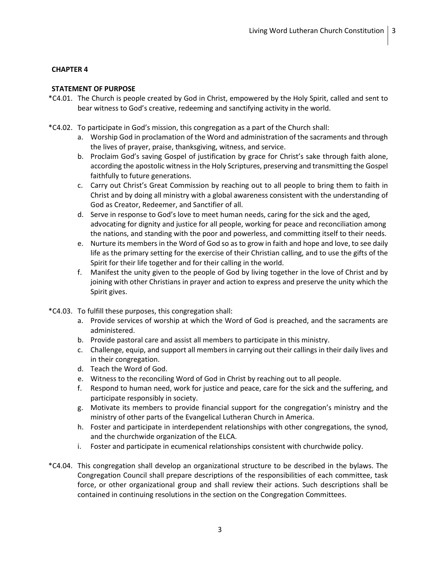## **STATEMENT OF PURPOSE**

- \*C4.01. The Church is people created by God in Christ, empowered by the Holy Spirit, called and sent to bear witness to God's creative, redeeming and sanctifying activity in the world.
- \*C4.02. To participate in God's mission, this congregation as a part of the Church shall:
	- a. Worship God in proclamation of the Word and administration of the sacraments and through the lives of prayer, praise, thanksgiving, witness, and service.
	- b. Proclaim God's saving Gospel of justification by grace for Christ's sake through faith alone, according the apostolic witness in the Holy Scriptures, preserving and transmitting the Gospel faithfully to future generations.
	- c. Carry out Christ's Great Commission by reaching out to all people to bring them to faith in Christ and by doing all ministry with a global awareness consistent with the understanding of God as Creator, Redeemer, and Sanctifier of all.
	- d. Serve in response to God's love to meet human needs, caring for the sick and the aged, advocating for dignity and justice for all people, working for peace and reconciliation among the nations, and standing with the poor and powerless, and committing itself to their needs.
	- e. Nurture its members in the Word of God so as to grow in faith and hope and love, to see daily life as the primary setting for the exercise of their Christian calling, and to use the gifts of the Spirit for their life together and for their calling in the world.
	- f. Manifest the unity given to the people of God by living together in the love of Christ and by joining with other Christians in prayer and action to express and preserve the unity which the Spirit gives.
- \*C4.03. To fulfill these purposes, this congregation shall:
	- a. Provide services of worship at which the Word of God is preached, and the sacraments are administered.
	- b. Provide pastoral care and assist all members to participate in this ministry.
	- c. Challenge, equip, and support all members in carrying out their callings in their daily lives and in their congregation.
	- d. Teach the Word of God.
	- e. Witness to the reconciling Word of God in Christ by reaching out to all people.
	- f. Respond to human need, work for justice and peace, care for the sick and the suffering, and participate responsibly in society.
	- g. Motivate its members to provide financial support for the congregation's ministry and the ministry of other parts of the Evangelical Lutheran Church in America.
	- h. Foster and participate in interdependent relationships with other congregations, the synod, and the churchwide organization of the ELCA.
	- i. Foster and participate in ecumenical relationships consistent with churchwide policy.
- \*C4.04. This congregation shall develop an organizational structure to be described in the bylaws. The Congregation Council shall prepare descriptions of the responsibilities of each committee, task force, or other organizational group and shall review their actions. Such descriptions shall be contained in continuing resolutions in the section on the Congregation Committees.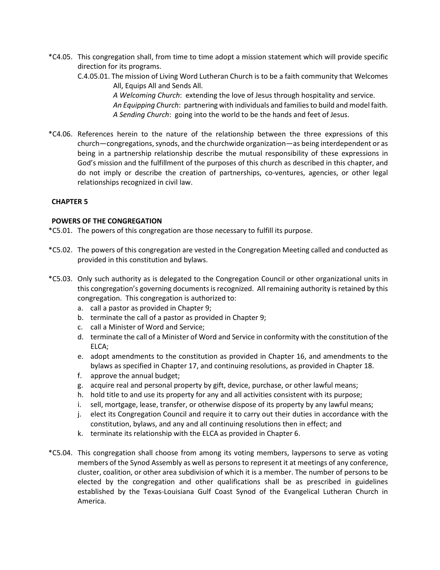- \*C4.05. This congregation shall, from time to time adopt a mission statement which will provide specific direction for its programs.
	- C.4.05.01. The mission of Living Word Lutheran Church is to be a faith community that Welcomes All, Equips All and Sends All.

*A Welcoming Church*: extending the love of Jesus through hospitality and service.

- *An Equipping Church*: partnering with individuals and families to build and model faith. *A Sending Church*: going into the world to be the hands and feet of Jesus.
- \*C4.06. References herein to the nature of the relationship between the three expressions of this church—congregations, synods, and the churchwide organization—as being interdependent or as being in a partnership relationship describe the mutual responsibility of these expressions in God's mission and the fulfillment of the purposes of this church as described in this chapter, and do not imply or describe the creation of partnerships, co-ventures, agencies, or other legal relationships recognized in civil law.

## **CHAPTER 5**

## **POWERS OF THE CONGREGATION**

\*C5.01. The powers of this congregation are those necessary to fulfill its purpose.

- \*C5.02. The powers of this congregation are vested in the Congregation Meeting called and conducted as provided in this constitution and bylaws.
- \*C5.03. Only such authority as is delegated to the Congregation Council or other organizational units in this congregation's governing documents is recognized. All remaining authority is retained by this congregation. This congregation is authorized to:
	- a. call a pastor as provided in Chapter 9;
	- b. terminate the call of a pastor as provided in Chapter 9;
	- c. call a Minister of Word and Service;
	- d. terminate the call of a Minister of Word and Service in conformity with the constitution of the ELCA;
	- e. adopt amendments to the constitution as provided in Chapter 16, and amendments to the bylaws as specified in Chapter 17, and continuing resolutions, as provided in Chapter 18.
	- f. approve the annual budget;
	- g. acquire real and personal property by gift, device, purchase, or other lawful means;
	- h. hold title to and use its property for any and all activities consistent with its purpose;
	- i. sell, mortgage, lease, transfer, or otherwise dispose of its property by any lawful means;
	- j. elect its Congregation Council and require it to carry out their duties in accordance with the constitution, bylaws, and any and all continuing resolutions then in effect; and
	- k. terminate its relationship with the ELCA as provided in Chapter 6.
- \*C5.04. This congregation shall choose from among its voting members, laypersons to serve as voting members of the Synod Assembly as well as persons to represent it at meetings of any conference, cluster, coalition, or other area subdivision of which it is a member. The number of persons to be elected by the congregation and other qualifications shall be as prescribed in guidelines established by the Texas-Louisiana Gulf Coast Synod of the Evangelical Lutheran Church in America.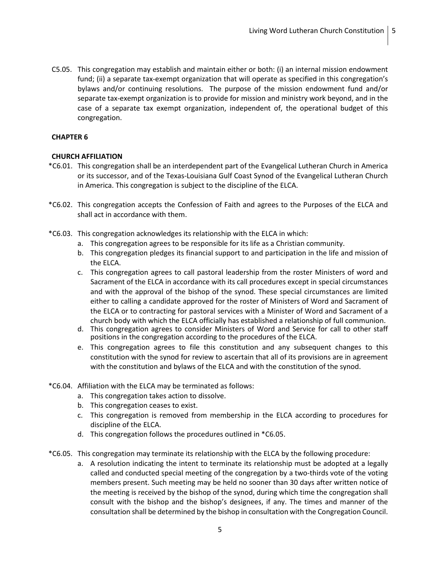C5.05. This congregation may establish and maintain either or both: (i) an internal mission endowment fund; (ii) a separate tax-exempt organization that will operate as specified in this congregation's bylaws and/or continuing resolutions. The purpose of the mission endowment fund and/or separate tax-exempt organization is to provide for mission and ministry work beyond, and in the case of a separate tax exempt organization, independent of, the operational budget of this congregation.

#### **CHAPTER 6**

#### **CHURCH AFFILIATION**

- \*C6.01. This congregation shall be an interdependent part of the Evangelical Lutheran Church in America or its successor, and of the Texas-Louisiana Gulf Coast Synod of the Evangelical Lutheran Church in America. This congregation is subject to the discipline of the ELCA.
- \*C6.02. This congregation accepts the Confession of Faith and agrees to the Purposes of the ELCA and shall act in accordance with them.
- \*C6.03. This congregation acknowledges its relationship with the ELCA in which:
	- a. This congregation agrees to be responsible for its life as a Christian community.
	- b. This congregation pledges its financial support to and participation in the life and mission of the ELCA.
	- c. This congregation agrees to call pastoral leadership from the roster Ministers of word and Sacrament of the ELCA in accordance with its call procedures except in special circumstances and with the approval of the bishop of the synod. These special circumstances are limited either to calling a candidate approved for the roster of Ministers of Word and Sacrament of the ELCA or to contracting for pastoral services with a Minister of Word and Sacrament of a church body with which the ELCA officially has established a relationship of full communion.
	- d. This congregation agrees to consider Ministers of Word and Service for call to other staff positions in the congregation according to the procedures of the ELCA.
	- e. This congregation agrees to file this constitution and any subsequent changes to this constitution with the synod for review to ascertain that all of its provisions are in agreement with the constitution and bylaws of the ELCA and with the constitution of the synod.
- \*C6.04. Affiliation with the ELCA may be terminated as follows:
	- a. This congregation takes action to dissolve.
	- b. This congregation ceases to exist.
	- c. This congregation is removed from membership in the ELCA according to procedures for discipline of the ELCA.
	- d. This congregation follows the procedures outlined in \*C6.05.
- \*C6.05. This congregation may terminate its relationship with the ELCA by the following procedure:
	- a. A resolution indicating the intent to terminate its relationship must be adopted at a legally called and conducted special meeting of the congregation by a two-thirds vote of the voting members present. Such meeting may be held no sooner than 30 days after written notice of the meeting is received by the bishop of the synod, during which time the congregation shall consult with the bishop and the bishop's designees, if any. The times and manner of the consultation shall be determined by the bishop in consultation with the Congregation Council.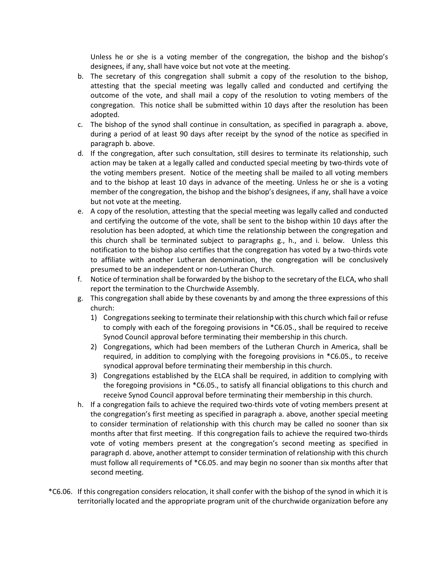Unless he or she is a voting member of the congregation, the bishop and the bishop's designees, if any, shall have voice but not vote at the meeting.

- b. The secretary of this congregation shall submit a copy of the resolution to the bishop, attesting that the special meeting was legally called and conducted and certifying the outcome of the vote, and shall mail a copy of the resolution to voting members of the congregation. This notice shall be submitted within 10 days after the resolution has been adopted.
- c. The bishop of the synod shall continue in consultation, as specified in paragraph a. above, during a period of at least 90 days after receipt by the synod of the notice as specified in paragraph b. above.
- d. If the congregation, after such consultation, still desires to terminate its relationship, such action may be taken at a legally called and conducted special meeting by two-thirds vote of the voting members present. Notice of the meeting shall be mailed to all voting members and to the bishop at least 10 days in advance of the meeting. Unless he or she is a voting member of the congregation, the bishop and the bishop's designees, if any, shall have a voice but not vote at the meeting.
- e. A copy of the resolution, attesting that the special meeting was legally called and conducted and certifying the outcome of the vote, shall be sent to the bishop within 10 days after the resolution has been adopted, at which time the relationship between the congregation and this church shall be terminated subject to paragraphs g., h., and i. below. Unless this notification to the bishop also certifies that the congregation has voted by a two-thirds vote to affiliate with another Lutheran denomination, the congregation will be conclusively presumed to be an independent or non-Lutheran Church.
- f. Notice of termination shall be forwarded by the bishop to the secretary of the ELCA, who shall report the termination to the Churchwide Assembly.
- g. This congregation shall abide by these covenants by and among the three expressions of this church:
	- 1) Congregations seeking to terminate their relationship with this church which fail or refuse to comply with each of the foregoing provisions in \*C6.05., shall be required to receive Synod Council approval before terminating their membership in this church.
	- 2) Congregations, which had been members of the Lutheran Church in America, shall be required, in addition to complying with the foregoing provisions in \*C6.05., to receive synodical approval before terminating their membership in this church.
	- 3) Congregations established by the ELCA shall be required, in addition to complying with the foregoing provisions in \*C6.05., to satisfy all financial obligations to this church and receive Synod Council approval before terminating their membership in this church.
- h. If a congregation fails to achieve the required two-thirds vote of voting members present at the congregation's first meeting as specified in paragraph a. above, another special meeting to consider termination of relationship with this church may be called no sooner than six months after that first meeting. If this congregation fails to achieve the required two-thirds vote of voting members present at the congregation's second meeting as specified in paragraph d. above, another attempt to consider termination of relationship with this church must follow all requirements of \*C6.05. and may begin no sooner than six months after that second meeting.
- \*C6.06. If this congregation considers relocation, it shall confer with the bishop of the synod in which it is territorially located and the appropriate program unit of the churchwide organization before any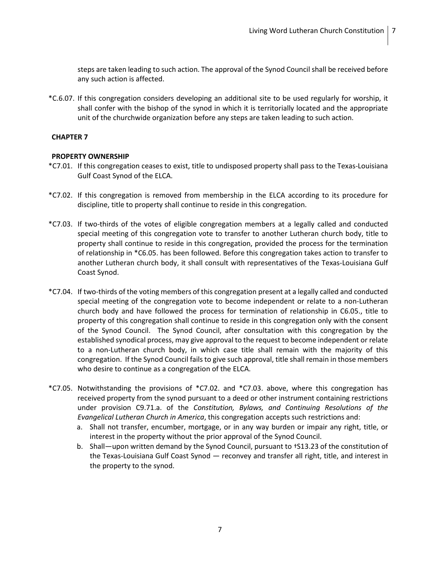steps are taken leading to such action. The approval of the Synod Council shall be received before any such action is affected.

\*C.6.07. If this congregation considers developing an additional site to be used regularly for worship, it shall confer with the bishop of the synod in which it is territorially located and the appropriate unit of the churchwide organization before any steps are taken leading to such action.

#### **CHAPTER 7**

#### **PROPERTY OWNERSHIP**

- \*C7.01. If this congregation ceases to exist, title to undisposed property shall pass to the Texas-Louisiana Gulf Coast Synod of the ELCA.
- \*C7.02. If this congregation is removed from membership in the ELCA according to its procedure for discipline, title to property shall continue to reside in this congregation.
- \*C7.03. If two-thirds of the votes of eligible congregation members at a legally called and conducted special meeting of this congregation vote to transfer to another Lutheran church body, title to property shall continue to reside in this congregation, provided the process for the termination of relationship in \*C6.05. has been followed. Before this congregation takes action to transfer to another Lutheran church body, it shall consult with representatives of the Texas-Louisiana Gulf Coast Synod.
- \*C7.04. If two-thirds of the voting members of this congregation present at a legally called and conducted special meeting of the congregation vote to become independent or relate to a non-Lutheran church body and have followed the process for termination of relationship in C6.05., title to property of this congregation shall continue to reside in this congregation only with the consent of the Synod Council. The Synod Council, after consultation with this congregation by the established synodical process, may give approval to the request to become independent or relate to a non-Lutheran church body, in which case title shall remain with the majority of this congregation. If the Synod Council fails to give such approval, title shall remain in those members who desire to continue as a congregation of the ELCA.
- \*C7.05. Notwithstanding the provisions of \*C7.02. and \*C7.03. above, where this congregation has received property from the synod pursuant to a deed or other instrument containing restrictions under provision C9.71.a. of the *Constitution, Bylaws, and Continuing Resolutions of the Evangelical Lutheran Church in America*, this congregation accepts such restrictions and:
	- a. Shall not transfer, encumber, mortgage, or in any way burden or impair any right, title, or interest in the property without the prior approval of the Synod Council.
	- b. Shall—upon written demand by the Synod Council, pursuant to †S13.23 of the constitution of the Texas-Louisiana Gulf Coast Synod — reconvey and transfer all right, title, and interest in the property to the synod.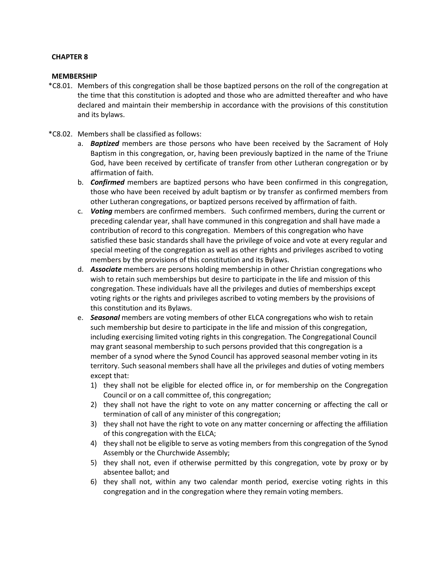#### **MEMBERSHIP**

- \*C8.01. Members of this congregation shall be those baptized persons on the roll of the congregation at the time that this constitution is adopted and those who are admitted thereafter and who have declared and maintain their membership in accordance with the provisions of this constitution and its bylaws.
- \*C8.02. Members shall be classified as follows:
	- a. *Baptized* members are those persons who have been received by the Sacrament of Holy Baptism in this congregation, or, having been previously baptized in the name of the Triune God, have been received by certificate of transfer from other Lutheran congregation or by affirmation of faith.
	- b. *Confirmed* members are baptized persons who have been confirmed in this congregation, those who have been received by adult baptism or by transfer as confirmed members from other Lutheran congregations, or baptized persons received by affirmation of faith.
	- c. *Voting* members are confirmed members. Such confirmed members, during the current or preceding calendar year, shall have communed in this congregation and shall have made a contribution of record to this congregation. Members of this congregation who have satisfied these basic standards shall have the privilege of voice and vote at every regular and special meeting of the congregation as well as other rights and privileges ascribed to voting members by the provisions of this constitution and its Bylaws.
	- d. *Associate* members are persons holding membership in other Christian congregations who wish to retain such memberships but desire to participate in the life and mission of this congregation. These individuals have all the privileges and duties of memberships except voting rights or the rights and privileges ascribed to voting members by the provisions of this constitution and its Bylaws.
	- e. *Seasonal* members are voting members of other ELCA congregations who wish to retain such membership but desire to participate in the life and mission of this congregation, including exercising limited voting rights in this congregation. The Congregational Council may grant seasonal membership to such persons provided that this congregation is a member of a synod where the Synod Council has approved seasonal member voting in its territory. Such seasonal members shall have all the privileges and duties of voting members except that:
		- 1) they shall not be eligible for elected office in, or for membership on the Congregation Council or on a call committee of, this congregation;
		- 2) they shall not have the right to vote on any matter concerning or affecting the call or termination of call of any minister of this congregation;
		- 3) they shall not have the right to vote on any matter concerning or affecting the affiliation of this congregation with the ELCA;
		- 4) they shall not be eligible to serve as voting members from this congregation of the Synod Assembly or the Churchwide Assembly;
		- 5) they shall not, even if otherwise permitted by this congregation, vote by proxy or by absentee ballot; and
		- 6) they shall not, within any two calendar month period, exercise voting rights in this congregation and in the congregation where they remain voting members.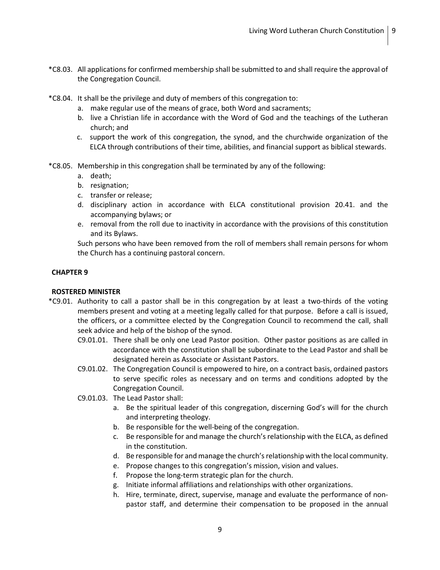- \*C8.03. All applications for confirmed membership shall be submitted to and shall require the approval of the Congregation Council.
- \*C8.04. It shall be the privilege and duty of members of this congregation to:
	- a. make regular use of the means of grace, both Word and sacraments;
	- b. live a Christian life in accordance with the Word of God and the teachings of the Lutheran church; and
	- c. support the work of this congregation, the synod, and the churchwide organization of the ELCA through contributions of their time, abilities, and financial support as biblical stewards.
- \*C8.05. Membership in this congregation shall be terminated by any of the following:
	- a. death;
	- b. resignation;
	- c. transfer or release;
	- d. disciplinary action in accordance with ELCA constitutional provision 20.41. and the accompanying bylaws; or
	- e. removal from the roll due to inactivity in accordance with the provisions of this constitution and its Bylaws.

Such persons who have been removed from the roll of members shall remain persons for whom the Church has a continuing pastoral concern.

## **CHAPTER 9**

## **ROSTERED MINISTER**

- \*C9.01. Authority to call a pastor shall be in this congregation by at least a two-thirds of the voting members present and voting at a meeting legally called for that purpose. Before a call is issued, the officers, or a committee elected by the Congregation Council to recommend the call, shall seek advice and help of the bishop of the synod.
	- C9.01.01. There shall be only one Lead Pastor position. Other pastor positions as are called in accordance with the constitution shall be subordinate to the Lead Pastor and shall be designated herein as Associate or Assistant Pastors.
	- C9.01.02. The Congregation Council is empowered to hire, on a contract basis, ordained pastors to serve specific roles as necessary and on terms and conditions adopted by the Congregation Council.
	- C9.01.03. The Lead Pastor shall:
		- a. Be the spiritual leader of this congregation, discerning God's will for the church and interpreting theology.
		- b. Be responsible for the well-being of the congregation.
		- c. Be responsible for and manage the church's relationship with the ELCA, as defined in the constitution.
		- d. Be responsible for and manage the church's relationship with the local community.
		- e. Propose changes to this congregation's mission, vision and values.
		- f. Propose the long-term strategic plan for the church.
		- g. Initiate informal affiliations and relationships with other organizations.
		- h. Hire, terminate, direct, supervise, manage and evaluate the performance of nonpastor staff, and determine their compensation to be proposed in the annual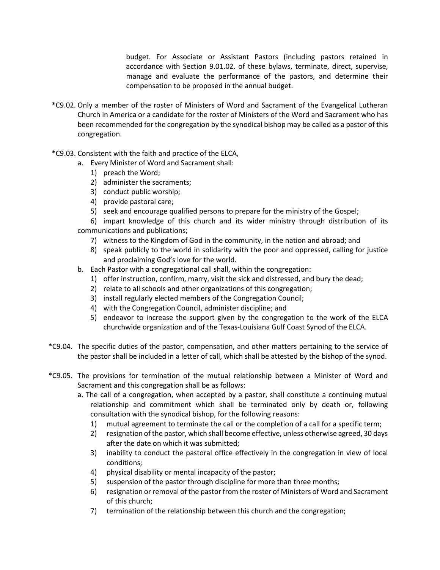budget. For Associate or Assistant Pastors (including pastors retained in accordance with Section 9.01.02. of these bylaws, terminate, direct, supervise, manage and evaluate the performance of the pastors, and determine their compensation to be proposed in the annual budget.

- \*C9.02. Only a member of the roster of Ministers of Word and Sacrament of the Evangelical Lutheran Church in America or a candidate for the roster of Ministers of the Word and Sacrament who has been recommended for the congregation by the synodical bishop may be called as a pastor of this congregation.
- \*C9.03. Consistent with the faith and practice of the ELCA,
	- a. Every Minister of Word and Sacrament shall:
		- 1) preach the Word;
		- 2) administer the sacraments;
		- 3) conduct public worship;
		- 4) provide pastoral care;
		- 5) seek and encourage qualified persons to prepare for the ministry of the Gospel;
	- 6) impart knowledge of this church and its wider ministry through distribution of its communications and publications;
		- 7) witness to the Kingdom of God in the community, in the nation and abroad; and
		- 8) speak publicly to the world in solidarity with the poor and oppressed, calling for justice and proclaiming God's love for the world.
	- b. Each Pastor with a congregational call shall, within the congregation:
		- 1) offer instruction, confirm, marry, visit the sick and distressed, and bury the dead;
		- 2) relate to all schools and other organizations of this congregation;
		- 3) install regularly elected members of the Congregation Council;
		- 4) with the Congregation Council, administer discipline; and
		- 5) endeavor to increase the support given by the congregation to the work of the ELCA churchwide organization and of the Texas-Louisiana Gulf Coast Synod of the ELCA.
- \*C9.04. The specific duties of the pastor, compensation, and other matters pertaining to the service of the pastor shall be included in a letter of call, which shall be attested by the bishop of the synod.
- \*C9.05. The provisions for termination of the mutual relationship between a Minister of Word and Sacrament and this congregation shall be as follows:
	- a. The call of a congregation, when accepted by a pastor, shall constitute a continuing mutual relationship and commitment which shall be terminated only by death or, following consultation with the synodical bishop, for the following reasons:
		- 1) mutual agreement to terminate the call or the completion of a call for a specific term;
		- 2) resignation of the pastor, which shall become effective, unless otherwise agreed, 30 days after the date on which it was submitted;
		- 3) inability to conduct the pastoral office effectively in the congregation in view of local conditions;
		- 4) physical disability or mental incapacity of the pastor;
		- 5) suspension of the pastor through discipline for more than three months;
		- 6) resignation or removal of the pastor from the roster of Ministers of Word and Sacrament of this church;
		- 7) termination of the relationship between this church and the congregation;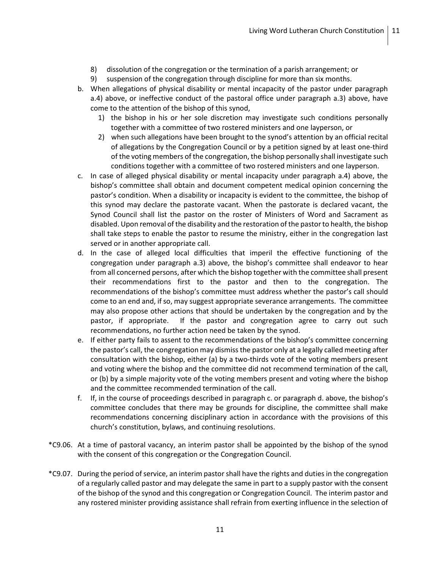- 8) dissolution of the congregation or the termination of a parish arrangement; or
- 9) suspension of the congregation through discipline for more than six months.
- b. When allegations of physical disability or mental incapacity of the pastor under paragraph a.4) above, or ineffective conduct of the pastoral office under paragraph a.3) above, have come to the attention of the bishop of this synod,
	- 1) the bishop in his or her sole discretion may investigate such conditions personally together with a committee of two rostered ministers and one layperson, or
	- 2) when such allegations have been brought to the synod's attention by an official recital of allegations by the Congregation Council or by a petition signed by at least one-third of the voting members of the congregation, the bishop personally shall investigate such conditions together with a committee of two rostered ministers and one layperson.
- c. In case of alleged physical disability or mental incapacity under paragraph a.4) above, the bishop's committee shall obtain and document competent medical opinion concerning the pastor's condition. When a disability or incapacity is evident to the committee, the bishop of this synod may declare the pastorate vacant. When the pastorate is declared vacant, the Synod Council shall list the pastor on the roster of Ministers of Word and Sacrament as disabled. Upon removal of the disability and the restoration of the pastor to health, the bishop shall take steps to enable the pastor to resume the ministry, either in the congregation last served or in another appropriate call.
- d. In the case of alleged local difficulties that imperil the effective functioning of the congregation under paragraph a.3) above, the bishop's committee shall endeavor to hear from all concerned persons, after which the bishop together with the committee shall present their recommendations first to the pastor and then to the congregation. The recommendations of the bishop's committee must address whether the pastor's call should come to an end and, if so, may suggest appropriate severance arrangements. The committee may also propose other actions that should be undertaken by the congregation and by the pastor, if appropriate. If the pastor and congregation agree to carry out such recommendations, no further action need be taken by the synod.
- e. If either party fails to assent to the recommendations of the bishop's committee concerning the pastor's call, the congregation may dismiss the pastor only at a legally called meeting after consultation with the bishop, either (a) by a two-thirds vote of the voting members present and voting where the bishop and the committee did not recommend termination of the call, or (b) by a simple majority vote of the voting members present and voting where the bishop and the committee recommended termination of the call.
- f. If, in the course of proceedings described in paragraph c. or paragraph d. above, the bishop's committee concludes that there may be grounds for discipline, the committee shall make recommendations concerning disciplinary action in accordance with the provisions of this church's constitution, bylaws, and continuing resolutions.
- \*C9.06. At a time of pastoral vacancy, an interim pastor shall be appointed by the bishop of the synod with the consent of this congregation or the Congregation Council.
- \*C9.07. During the period of service, an interim pastor shall have the rights and dutiesin the congregation of a regularly called pastor and may delegate the same in part to a supply pastor with the consent of the bishop of the synod and this congregation or Congregation Council. The interim pastor and any rostered minister providing assistance shall refrain from exerting influence in the selection of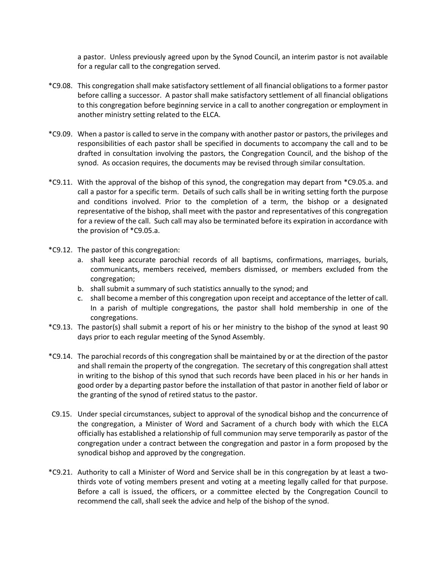a pastor. Unless previously agreed upon by the Synod Council, an interim pastor is not available for a regular call to the congregation served.

- \*C9.08. This congregation shall make satisfactory settlement of all financial obligations to a former pastor before calling a successor. A pastor shall make satisfactory settlement of all financial obligations to this congregation before beginning service in a call to another congregation or employment in another ministry setting related to the ELCA.
- \*C9.09. When a pastor is called to serve in the company with another pastor or pastors, the privileges and responsibilities of each pastor shall be specified in documents to accompany the call and to be drafted in consultation involving the pastors, the Congregation Council, and the bishop of the synod. As occasion requires, the documents may be revised through similar consultation.
- \*C9.11. With the approval of the bishop of this synod, the congregation may depart from \*C9.05.a. and call a pastor for a specific term. Details of such calls shall be in writing setting forth the purpose and conditions involved. Prior to the completion of a term, the bishop or a designated representative of the bishop, shall meet with the pastor and representatives of this congregation for a review of the call. Such call may also be terminated before its expiration in accordance with the provision of \*C9.05.a.
- \*C9.12. The pastor of this congregation:
	- a. shall keep accurate parochial records of all baptisms, confirmations, marriages, burials, communicants, members received, members dismissed, or members excluded from the congregation;
	- b. shall submit a summary of such statistics annually to the synod; and
	- c. shall become a member of this congregation upon receipt and acceptance of the letter of call. In a parish of multiple congregations, the pastor shall hold membership in one of the congregations.
- \*C9.13. The pastor(s) shall submit a report of his or her ministry to the bishop of the synod at least 90 days prior to each regular meeting of the Synod Assembly.
- \*C9.14. The parochial records of this congregation shall be maintained by or at the direction of the pastor and shall remain the property of the congregation. The secretary of this congregation shall attest in writing to the bishop of this synod that such records have been placed in his or her hands in good order by a departing pastor before the installation of that pastor in another field of labor or the granting of the synod of retired status to the pastor.
- C9.15. Under special circumstances, subject to approval of the synodical bishop and the concurrence of the congregation, a Minister of Word and Sacrament of a church body with which the ELCA officially has established a relationship of full communion may serve temporarily as pastor of the congregation under a contract between the congregation and pastor in a form proposed by the synodical bishop and approved by the congregation.
- \*C9.21. Authority to call a Minister of Word and Service shall be in this congregation by at least a twothirds vote of voting members present and voting at a meeting legally called for that purpose. Before a call is issued, the officers, or a committee elected by the Congregation Council to recommend the call, shall seek the advice and help of the bishop of the synod.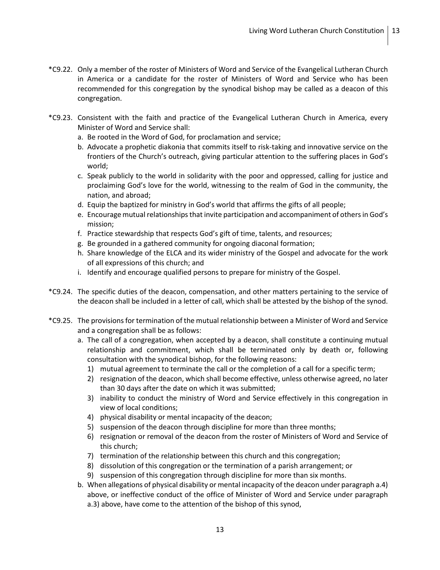- \*C9.22. Only a member of the roster of Ministers of Word and Service of the Evangelical Lutheran Church in America or a candidate for the roster of Ministers of Word and Service who has been recommended for this congregation by the synodical bishop may be called as a deacon of this congregation.
- \*C9.23. Consistent with the faith and practice of the Evangelical Lutheran Church in America, every Minister of Word and Service shall:
	- a. Be rooted in the Word of God, for proclamation and service;
	- b. Advocate a prophetic diakonia that commits itself to risk-taking and innovative service on the frontiers of the Church's outreach, giving particular attention to the suffering places in God's world;
	- c. Speak publicly to the world in solidarity with the poor and oppressed, calling for justice and proclaiming God's love for the world, witnessing to the realm of God in the community, the nation, and abroad;
	- d. Equip the baptized for ministry in God's world that affirms the gifts of all people;
	- e. Encourage mutual relationships that invite participation and accompaniment of others in God's mission;
	- f. Practice stewardship that respects God's gift of time, talents, and resources;
	- g. Be grounded in a gathered community for ongoing diaconal formation;
	- h. Share knowledge of the ELCA and its wider ministry of the Gospel and advocate for the work of all expressions of this church; and
	- i. Identify and encourage qualified persons to prepare for ministry of the Gospel.
- \*C9.24. The specific duties of the deacon, compensation, and other matters pertaining to the service of the deacon shall be included in a letter of call, which shall be attested by the bishop of the synod.
- \*C9.25. The provisions for termination of the mutual relationship between a Minister of Word and Service and a congregation shall be as follows:
	- a. The call of a congregation, when accepted by a deacon, shall constitute a continuing mutual relationship and commitment, which shall be terminated only by death or, following consultation with the synodical bishop, for the following reasons:
		- 1) mutual agreement to terminate the call or the completion of a call for a specific term;
		- 2) resignation of the deacon, which shall become effective, unless otherwise agreed, no later than 30 days after the date on which it was submitted;
		- 3) inability to conduct the ministry of Word and Service effectively in this congregation in view of local conditions;
		- 4) physical disability or mental incapacity of the deacon;
		- 5) suspension of the deacon through discipline for more than three months;
		- 6) resignation or removal of the deacon from the roster of Ministers of Word and Service of this church;
		- 7) termination of the relationship between this church and this congregation;
		- 8) dissolution of this congregation or the termination of a parish arrangement; or
		- 9) suspension of this congregation through discipline for more than six months.
	- b. When allegations of physical disability or mental incapacity of the deacon under paragraph a.4) above, or ineffective conduct of the office of Minister of Word and Service under paragraph a.3) above, have come to the attention of the bishop of this synod,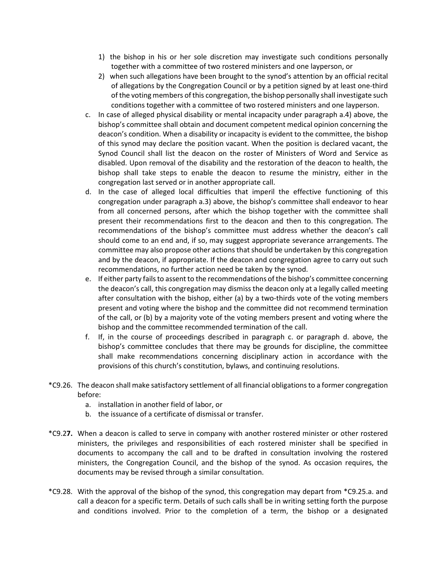- 1) the bishop in his or her sole discretion may investigate such conditions personally together with a committee of two rostered ministers and one layperson, or
- 2) when such allegations have been brought to the synod's attention by an official recital of allegations by the Congregation Council or by a petition signed by at least one-third of the voting members of this congregation, the bishop personally shall investigate such conditions together with a committee of two rostered ministers and one layperson.
- c. In case of alleged physical disability or mental incapacity under paragraph a.4) above, the bishop's committee shall obtain and document competent medical opinion concerning the deacon's condition. When a disability or incapacity is evident to the committee, the bishop of this synod may declare the position vacant. When the position is declared vacant, the Synod Council shall list the deacon on the roster of Ministers of Word and Service as disabled. Upon removal of the disability and the restoration of the deacon to health, the bishop shall take steps to enable the deacon to resume the ministry, either in the congregation last served or in another appropriate call.
- d. In the case of alleged local difficulties that imperil the effective functioning of this congregation under paragraph a.3) above, the bishop's committee shall endeavor to hear from all concerned persons, after which the bishop together with the committee shall present their recommendations first to the deacon and then to this congregation. The recommendations of the bishop's committee must address whether the deacon's call should come to an end and, if so, may suggest appropriate severance arrangements. The committee may also propose other actions that should be undertaken by this congregation and by the deacon, if appropriate. If the deacon and congregation agree to carry out such recommendations, no further action need be taken by the synod.
- e. If either party fails to assent to the recommendations of the bishop's committee concerning the deacon's call, this congregation may dismiss the deacon only at a legally called meeting after consultation with the bishop, either (a) by a two-thirds vote of the voting members present and voting where the bishop and the committee did not recommend termination of the call, or (b) by a majority vote of the voting members present and voting where the bishop and the committee recommended termination of the call.
- f. If, in the course of proceedings described in paragraph c. or paragraph d. above, the bishop's committee concludes that there may be grounds for discipline, the committee shall make recommendations concerning disciplinary action in accordance with the provisions of this church's constitution, bylaws, and continuing resolutions.
- \*C9.26. The deacon shall make satisfactory settlement of all financial obligations to a former congregation before:
	- a. installation in another field of labor, or
	- b. the issuance of a certificate of dismissal or transfer.
- \*C9.2**7.** When a deacon is called to serve in company with another rostered minister or other rostered ministers, the privileges and responsibilities of each rostered minister shall be specified in documents to accompany the call and to be drafted in consultation involving the rostered ministers, the Congregation Council, and the bishop of the synod. As occasion requires, the documents may be revised through a similar consultation.
- \*C9.28. With the approval of the bishop of the synod, this congregation may depart from \*C9.25.a. and call a deacon for a specific term. Details of such calls shall be in writing setting forth the purpose and conditions involved. Prior to the completion of a term, the bishop or a designated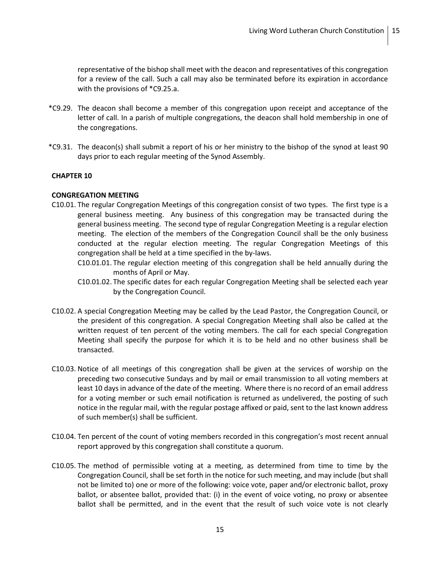representative of the bishop shall meet with the deacon and representatives of this congregation for a review of the call. Such a call may also be terminated before its expiration in accordance with the provisions of \*C9.25.a.

- \*C9.29. The deacon shall become a member of this congregation upon receipt and acceptance of the letter of call. In a parish of multiple congregations, the deacon shall hold membership in one of the congregations.
- \*C9.31. The deacon(s) shall submit a report of his or her ministry to the bishop of the synod at least 90 days prior to each regular meeting of the Synod Assembly.

## **CHAPTER 10**

#### **CONGREGATION MEETING**

- C10.01. The regular Congregation Meetings of this congregation consist of two types. The first type is a general business meeting. Any business of this congregation may be transacted during the general business meeting. The second type of regular Congregation Meeting is a regular election meeting. The election of the members of the Congregation Council shall be the only business conducted at the regular election meeting. The regular Congregation Meetings of this congregation shall be held at a time specified in the by-laws.
	- C10.01.01. The regular election meeting of this congregation shall be held annually during the months of April or May.
	- C10.01.02. The specific dates for each regular Congregation Meeting shall be selected each year by the Congregation Council.
- C10.02. A special Congregation Meeting may be called by the Lead Pastor, the Congregation Council, or the president of this congregation. A special Congregation Meeting shall also be called at the written request of ten percent of the voting members. The call for each special Congregation Meeting shall specify the purpose for which it is to be held and no other business shall be transacted.
- C10.03. Notice of all meetings of this congregation shall be given at the services of worship on the preceding two consecutive Sundays and by mail or email transmission to all voting members at least 10 days in advance of the date of the meeting. Where there is no record of an email address for a voting member or such email notification is returned as undelivered, the posting of such notice in the regular mail, with the regular postage affixed or paid, sent to the last known address of such member(s) shall be sufficient.
- C10.04. Ten percent of the count of voting members recorded in this congregation's most recent annual report approved by this congregation shall constitute a quorum.
- C10.05. The method of permissible voting at a meeting, as determined from time to time by the Congregation Council, shall be set forth in the notice for such meeting, and may include (but shall not be limited to) one or more of the following: voice vote, paper and/or electronic ballot, proxy ballot, or absentee ballot, provided that: (i) in the event of voice voting, no proxy or absentee ballot shall be permitted, and in the event that the result of such voice vote is not clearly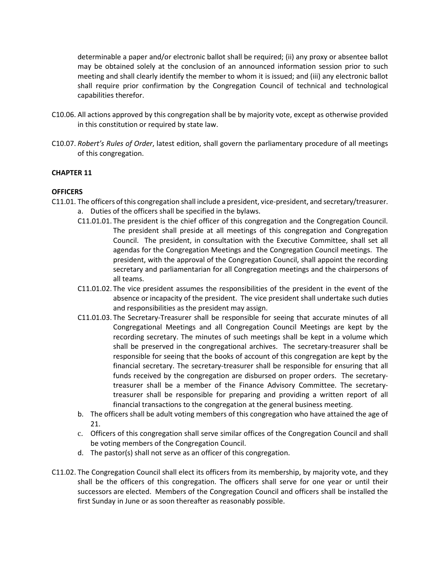determinable a paper and/or electronic ballot shall be required; (ii) any proxy or absentee ballot may be obtained solely at the conclusion of an announced information session prior to such meeting and shall clearly identify the member to whom it is issued; and (iii) any electronic ballot shall require prior confirmation by the Congregation Council of technical and technological capabilities therefor.

- C10.06. All actions approved by this congregation shall be by majority vote, except as otherwise provided in this constitution or required by state law.
- C10.07. *Robert's Rules of Order*, latest edition, shall govern the parliamentary procedure of all meetings of this congregation.

## **CHAPTER 11**

## **OFFICERS**

- C11.01. The officers of this congregation shall include a president, vice-president, and secretary/treasurer. a. Duties of the officers shall be specified in the bylaws.
	- C11.01.01. The president is the chief officer of this congregation and the Congregation Council. The president shall preside at all meetings of this congregation and Congregation Council. The president, in consultation with the Executive Committee, shall set all agendas for the Congregation Meetings and the Congregation Council meetings. The president, with the approval of the Congregation Council, shall appoint the recording secretary and parliamentarian for all Congregation meetings and the chairpersons of all teams.
	- C11.01.02. The vice president assumes the responsibilities of the president in the event of the absence or incapacity of the president. The vice president shall undertake such duties and responsibilities as the president may assign.
	- C11.01.03. The Secretary-Treasurer shall be responsible for seeing that accurate minutes of all Congregational Meetings and all Congregation Council Meetings are kept by the recording secretary. The minutes of such meetings shall be kept in a volume which shall be preserved in the congregational archives. The secretary-treasurer shall be responsible for seeing that the books of account of this congregation are kept by the financial secretary. The secretary-treasurer shall be responsible for ensuring that all funds received by the congregation are disbursed on proper orders. The secretarytreasurer shall be a member of the Finance Advisory Committee. The secretarytreasurer shall be responsible for preparing and providing a written report of all financial transactions to the congregation at the general business meeting.
	- b. The officers shall be adult voting members of this congregation who have attained the age of 21.
	- c. Officers of this congregation shall serve similar offices of the Congregation Council and shall be voting members of the Congregation Council.
	- d. The pastor(s) shall not serve as an officer of this congregation.
- C11.02. The Congregation Council shall elect its officers from its membership, by majority vote, and they shall be the officers of this congregation. The officers shall serve for one year or until their successors are elected. Members of the Congregation Council and officers shall be installed the first Sunday in June or as soon thereafter as reasonably possible.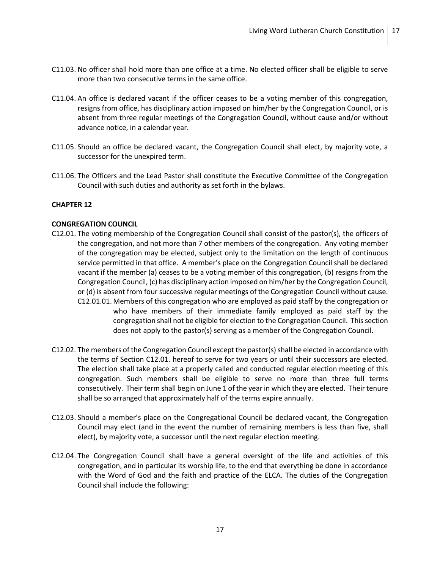- C11.03. No officer shall hold more than one office at a time. No elected officer shall be eligible to serve more than two consecutive terms in the same office.
- C11.04. An office is declared vacant if the officer ceases to be a voting member of this congregation, resigns from office, has disciplinary action imposed on him/her by the Congregation Council, or is absent from three regular meetings of the Congregation Council, without cause and/or without advance notice, in a calendar year.
- C11.05. Should an office be declared vacant, the Congregation Council shall elect, by majority vote, a successor for the unexpired term.
- C11.06. The Officers and the Lead Pastor shall constitute the Executive Committee of the Congregation Council with such duties and authority as set forth in the bylaws.

#### **CONGREGATION COUNCIL**

- C12.01. The voting membership of the Congregation Council shall consist of the pastor(s), the officers of the congregation, and not more than 7 other members of the congregation. Any voting member of the congregation may be elected, subject only to the limitation on the length of continuous service permitted in that office. A member's place on the Congregation Council shall be declared vacant if the member (a) ceases to be a voting member of this congregation, (b) resigns from the Congregation Council, (c) has disciplinary action imposed on him/her by the Congregation Council, or (d) is absent from four successive regular meetings of the Congregation Council without cause. C12.01.01. Members of this congregation who are employed as paid staff by the congregation or who have members of their immediate family employed as paid staff by the congregation shall not be eligible for election to the Congregation Council. This section does not apply to the pastor(s) serving as a member of the Congregation Council.
- C12.02. The members of the Congregation Council except the pastor(s) shall be elected in accordance with the terms of Section C12.01. hereof to serve for two years or until their successors are elected. The election shall take place at a properly called and conducted regular election meeting of this congregation. Such members shall be eligible to serve no more than three full terms consecutively. Their term shall begin on June 1 of the year in which they are elected. Their tenure shall be so arranged that approximately half of the terms expire annually.
- C12.03. Should a member's place on the Congregational Council be declared vacant, the Congregation Council may elect (and in the event the number of remaining members is less than five, shall elect), by majority vote, a successor until the next regular election meeting.
- C12.04. The Congregation Council shall have a general oversight of the life and activities of this congregation, and in particular its worship life, to the end that everything be done in accordance with the Word of God and the faith and practice of the ELCA. The duties of the Congregation Council shall include the following: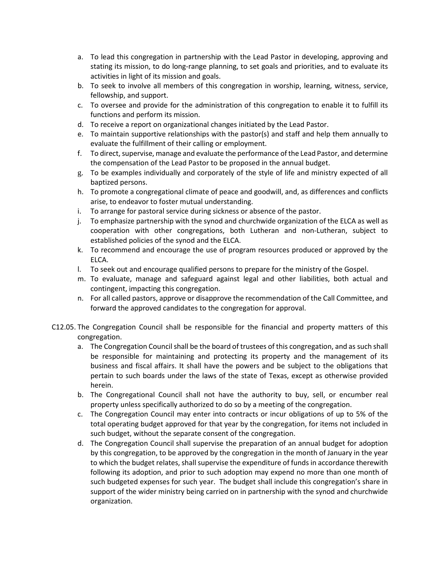- a. To lead this congregation in partnership with the Lead Pastor in developing, approving and stating its mission, to do long-range planning, to set goals and priorities, and to evaluate its activities in light of its mission and goals.
- b. To seek to involve all members of this congregation in worship, learning, witness, service, fellowship, and support.
- c. To oversee and provide for the administration of this congregation to enable it to fulfill its functions and perform its mission.
- d. To receive a report on organizational changes initiated by the Lead Pastor.
- e. To maintain supportive relationships with the pastor(s) and staff and help them annually to evaluate the fulfillment of their calling or employment.
- f. To direct, supervise, manage and evaluate the performance of the Lead Pastor, and determine the compensation of the Lead Pastor to be proposed in the annual budget.
- g. To be examples individually and corporately of the style of life and ministry expected of all baptized persons.
- h. To promote a congregational climate of peace and goodwill, and, as differences and conflicts arise, to endeavor to foster mutual understanding.
- i. To arrange for pastoral service during sickness or absence of the pastor.
- j. To emphasize partnership with the synod and churchwide organization of the ELCA as well as cooperation with other congregations, both Lutheran and non-Lutheran, subject to established policies of the synod and the ELCA.
- k. To recommend and encourage the use of program resources produced or approved by the ELCA.
- l. To seek out and encourage qualified persons to prepare for the ministry of the Gospel.
- m. To evaluate, manage and safeguard against legal and other liabilities, both actual and contingent, impacting this congregation.
- n. For all called pastors, approve or disapprove the recommendation of the Call Committee, and forward the approved candidates to the congregation for approval.
- C12.05. The Congregation Council shall be responsible for the financial and property matters of this congregation.
	- a. The Congregation Council shall be the board of trustees of this congregation, and as such shall be responsible for maintaining and protecting its property and the management of its business and fiscal affairs. It shall have the powers and be subject to the obligations that pertain to such boards under the laws of the state of Texas, except as otherwise provided herein.
	- b. The Congregational Council shall not have the authority to buy, sell, or encumber real property unless specifically authorized to do so by a meeting of the congregation.
	- c. The Congregation Council may enter into contracts or incur obligations of up to 5% of the total operating budget approved for that year by the congregation, for items not included in such budget, without the separate consent of the congregation.
	- d. The Congregation Council shall supervise the preparation of an annual budget for adoption by this congregation, to be approved by the congregation in the month of January in the year to which the budget relates, shall supervise the expenditure of funds in accordance therewith following its adoption, and prior to such adoption may expend no more than one month of such budgeted expenses for such year. The budget shall include this congregation's share in support of the wider ministry being carried on in partnership with the synod and churchwide organization.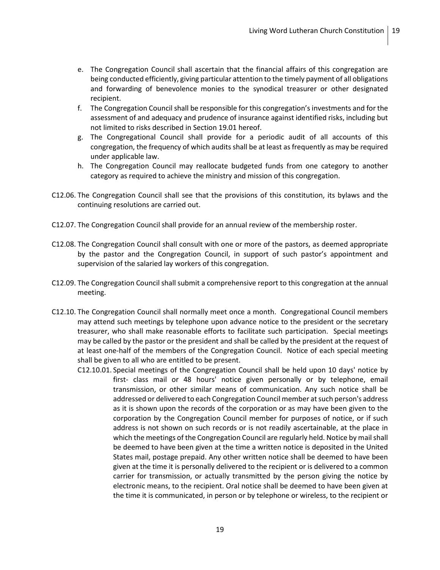- e. The Congregation Council shall ascertain that the financial affairs of this congregation are being conducted efficiently, giving particular attention to the timely payment of all obligations and forwarding of benevolence monies to the synodical treasurer or other designated recipient.
- f. The Congregation Council shall be responsible for this congregation's investments and for the assessment of and adequacy and prudence of insurance against identified risks, including but not limited to risks described in Section 19.01 hereof.
- g. The Congregational Council shall provide for a periodic audit of all accounts of this congregation, the frequency of which audits shall be at least as frequently as may be required under applicable law.
- h. The Congregation Council may reallocate budgeted funds from one category to another category as required to achieve the ministry and mission of this congregation.
- C12.06. The Congregation Council shall see that the provisions of this constitution, its bylaws and the continuing resolutions are carried out.
- C12.07. The Congregation Council shall provide for an annual review of the membership roster.
- C12.08. The Congregation Council shall consult with one or more of the pastors, as deemed appropriate by the pastor and the Congregation Council, in support of such pastor's appointment and supervision of the salaried lay workers of this congregation.
- C12.09. The Congregation Council shall submit a comprehensive report to this congregation at the annual meeting.
- C12.10. The Congregation Council shall normally meet once a month. Congregational Council members may attend such meetings by telephone upon advance notice to the president or the secretary treasurer, who shall make reasonable efforts to facilitate such participation. Special meetings may be called by the pastor or the president and shall be called by the president at the request of at least one-half of the members of the Congregation Council. Notice of each special meeting shall be given to all who are entitled to be present.
	- C12.10.01. Special meetings of the Congregation Council shall be held upon 10 days' notice by first- class mail or 48 hours' notice given personally or by telephone, email transmission, or other similar means of communication. Any such notice shall be addressed or delivered to each Congregation Council member at such person's address as it is shown upon the records of the corporation or as may have been given to the corporation by the Congregation Council member for purposes of notice, or if such address is not shown on such records or is not readily ascertainable, at the place in which the meetings of the Congregation Council are regularly held. Notice by mail shall be deemed to have been given at the time a written notice is deposited in the United States mail, postage prepaid. Any other written notice shall be deemed to have been given at the time it is personally delivered to the recipient or is delivered to a common carrier for transmission, or actually transmitted by the person giving the notice by electronic means, to the recipient. Oral notice shall be deemed to have been given at the time it is communicated, in person or by telephone or wireless, to the recipient or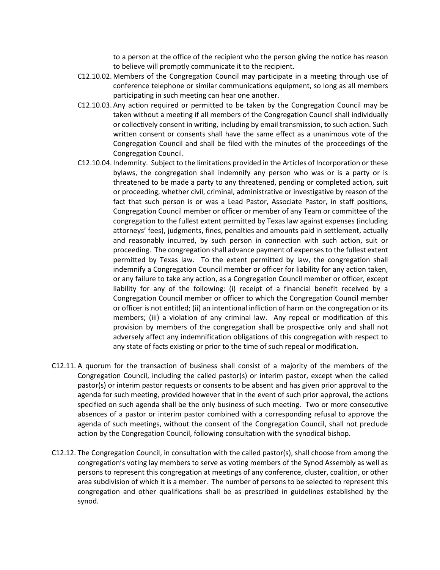to a person at the office of the recipient who the person giving the notice has reason to believe will promptly communicate it to the recipient.

- C12.10.02. Members of the Congregation Council may participate in a meeting through use of conference telephone or similar communications equipment, so long as all members participating in such meeting can hear one another.
- C12.10.03. Any action required or permitted to be taken by the Congregation Council may be taken without a meeting if all members of the Congregation Council shall individually or collectively consent in writing, including by email transmission, to such action. Such written consent or consents shall have the same effect as a unanimous vote of the Congregation Council and shall be filed with the minutes of the proceedings of the Congregation Council.
- C12.10.04. Indemnity. Subject to the limitations provided in the Articles of Incorporation or these bylaws, the congregation shall indemnify any person who was or is a party or is threatened to be made a party to any threatened, pending or completed action, suit or proceeding, whether civil, criminal, administrative or investigative by reason of the fact that such person is or was a Lead Pastor, Associate Pastor, in staff positions, Congregation Council member or officer or member of any Team or committee of the congregation to the fullest extent permitted by Texas law against expenses (including attorneys' fees), judgments, fines, penalties and amounts paid in settlement, actually and reasonably incurred, by such person in connection with such action, suit or proceeding. The congregation shall advance payment of expenses to the fullest extent permitted by Texas law. To the extent permitted by law, the congregation shall indemnify a Congregation Council member or officer for liability for any action taken, or any failure to take any action, as a Congregation Council member or officer, except liability for any of the following: (i) receipt of a financial benefit received by a Congregation Council member or officer to which the Congregation Council member or officer is not entitled; (ii) an intentional infliction of harm on the congregation or its members; (iii) a violation of any criminal law. Any repeal or modification of this provision by members of the congregation shall be prospective only and shall not adversely affect any indemnification obligations of this congregation with respect to any state of facts existing or prior to the time of such repeal or modification.
- C12.11. A quorum for the transaction of business shall consist of a majority of the members of the Congregation Council, including the called pastor(s) or interim pastor, except when the called pastor(s) or interim pastor requests or consents to be absent and has given prior approval to the agenda for such meeting, provided however that in the event of such prior approval, the actions specified on such agenda shall be the only business of such meeting. Two or more consecutive absences of a pastor or interim pastor combined with a corresponding refusal to approve the agenda of such meetings, without the consent of the Congregation Council, shall not preclude action by the Congregation Council, following consultation with the synodical bishop.
- C12.12. The Congregation Council, in consultation with the called pastor(s), shall choose from among the congregation's voting lay members to serve as voting members of the Synod Assembly as well as persons to represent this congregation at meetings of any conference, cluster, coalition, or other area subdivision of which it is a member. The number of persons to be selected to represent this congregation and other qualifications shall be as prescribed in guidelines established by the synod.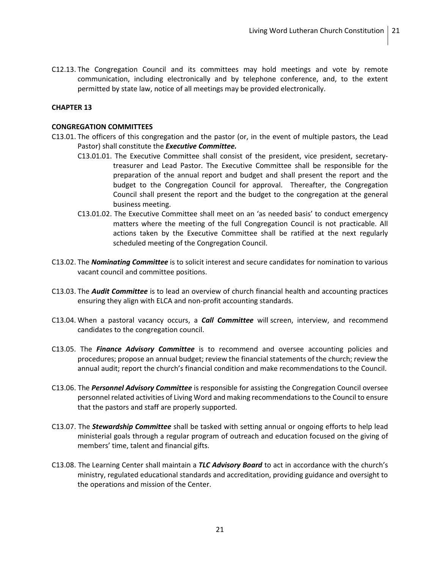C12.13. The Congregation Council and its committees may hold meetings and vote by remote communication, including electronically and by telephone conference, and, to the extent permitted by state law, notice of all meetings may be provided electronically.

## **CHAPTER 13**

#### **CONGREGATION COMMITTEES**

- C13.01. The officers of this congregation and the pastor (or, in the event of multiple pastors, the Lead Pastor) shall constitute the *Executive Committee.*
	- C13.01.01. The Executive Committee shall consist of the president, vice president, secretarytreasurer and Lead Pastor. The Executive Committee shall be responsible for the preparation of the annual report and budget and shall present the report and the budget to the Congregation Council for approval. Thereafter, the Congregation Council shall present the report and the budget to the congregation at the general business meeting.
	- C13.01.02. The Executive Committee shall meet on an 'as needed basis' to conduct emergency matters where the meeting of the full Congregation Council is not practicable. All actions taken by the Executive Committee shall be ratified at the next regularly scheduled meeting of the Congregation Council.
- C13.02. The *Nominating Committee* is to solicit interest and secure candidates for nomination to various vacant council and committee positions.
- C13.03. The *Audit Committee* is to lead an overview of church financial health and accounting practices ensuring they align with ELCA and non-profit accounting standards.
- C13.04. When a pastoral vacancy occurs, a *Call Committee* will screen, interview, and recommend candidates to the congregation council.
- C13.05. The *Finance Advisory Committee* is to recommend and oversee accounting policies and procedures; propose an annual budget; review the financial statements of the church; review the annual audit; report the church's financial condition and make recommendations to the Council.
- C13.06. The *Personnel Advisory Committee* is responsible for assisting the Congregation Council oversee personnel related activities of Living Word and making recommendations to the Council to ensure that the pastors and staff are properly supported.
- C13.07. The *Stewardship Committee* shall be tasked with setting annual or ongoing efforts to help lead ministerial goals through a regular program of outreach and education focused on the giving of members' time, talent and financial gifts.
- C13.08. The Learning Center shall maintain a *TLC Advisory Board* to act in accordance with the church's ministry, regulated educational standards and accreditation, providing guidance and oversight to the operations and mission of the Center.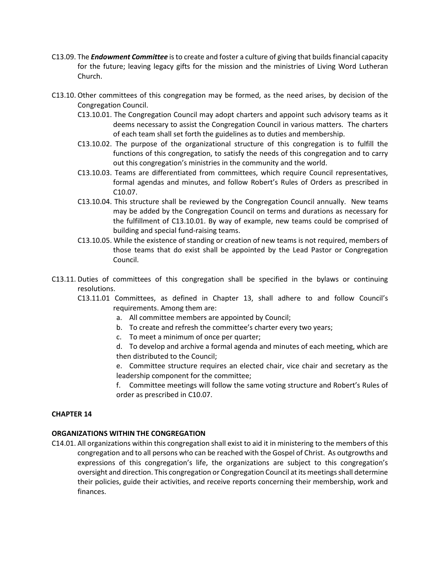- C13.09. The *Endowment Committee* is to create and foster a culture of giving that builds financial capacity for the future; leaving legacy gifts for the mission and the ministries of Living Word Lutheran Church.
- C13.10. Other committees of this congregation may be formed, as the need arises, by decision of the Congregation Council.
	- C13.10.01. The Congregation Council may adopt charters and appoint such advisory teams as it deems necessary to assist the Congregation Council in various matters. The charters of each team shall set forth the guidelines as to duties and membership.
	- C13.10.02. The purpose of the organizational structure of this congregation is to fulfill the functions of this congregation, to satisfy the needs of this congregation and to carry out this congregation's ministries in the community and the world.
	- C13.10.03. Teams are differentiated from committees, which require Council representatives, formal agendas and minutes, and follow Robert's Rules of Orders as prescribed in C10.07.
	- C13.10.04. This structure shall be reviewed by the Congregation Council annually. New teams may be added by the Congregation Council on terms and durations as necessary for the fulfillment of C13.10.01. By way of example, new teams could be comprised of building and special fund-raising teams.
	- C13.10.05. While the existence of standing or creation of new teams is not required, members of those teams that do exist shall be appointed by the Lead Pastor or Congregation Council.
- C13.11. Duties of committees of this congregation shall be specified in the bylaws or continuing resolutions.
	- C13.11.01 Committees, as defined in Chapter 13, shall adhere to and follow Council's requirements. Among them are:
		- a. All committee members are appointed by Council;
		- b. To create and refresh the committee's charter every two years;
		- c. To meet a minimum of once per quarter;
		- d. To develop and archive a formal agenda and minutes of each meeting, which are then distributed to the Council;
		- e. Committee structure requires an elected chair, vice chair and secretary as the leadership component for the committee;
		- f. Committee meetings will follow the same voting structure and Robert's Rules of order as prescribed in C10.07.

## **ORGANIZATIONS WITHIN THE CONGREGATION**

C14.01. All organizations within this congregation shall exist to aid it in ministering to the members of this congregation and to all persons who can be reached with the Gospel of Christ. As outgrowths and expressions of this congregation's life, the organizations are subject to this congregation's oversight and direction. This congregation or Congregation Council at its meetingsshall determine their policies, guide their activities, and receive reports concerning their membership, work and finances.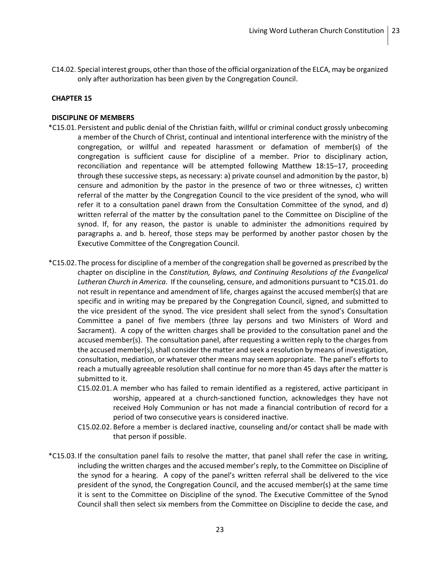C14.02. Special interest groups, other than those of the official organization of the ELCA, may be organized only after authorization has been given by the Congregation Council.

## **CHAPTER 15**

#### **DISCIPLINE OF MEMBERS**

- \*C15.01.Persistent and public denial of the Christian faith, willful or criminal conduct grossly unbecoming a member of the Church of Christ, continual and intentional interference with the ministry of the congregation, or willful and repeated harassment or defamation of member(s) of the congregation is sufficient cause for discipline of a member. Prior to disciplinary action, reconciliation and repentance will be attempted following Matthew 18:15–17, proceeding through these successive steps, as necessary: a) private counsel and admonition by the pastor, b) censure and admonition by the pastor in the presence of two or three witnesses, c) written referral of the matter by the Congregation Council to the vice president of the synod, who will refer it to a consultation panel drawn from the Consultation Committee of the synod, and d) written referral of the matter by the consultation panel to the Committee on Discipline of the synod. If, for any reason, the pastor is unable to administer the admonitions required by paragraphs a. and b. hereof, those steps may be performed by another pastor chosen by the Executive Committee of the Congregation Council.
- \*C15.02.The process for discipline of a member of the congregation shall be governed as prescribed by the chapter on discipline in the *Constitution, Bylaws, and Continuing Resolutions of the Evangelical Lutheran Church in America*. If the counseling, censure, and admonitions pursuant to \*C15.01. do not result in repentance and amendment of life, charges against the accused member(s) that are specific and in writing may be prepared by the Congregation Council, signed, and submitted to the vice president of the synod. The vice president shall select from the synod's Consultation Committee a panel of five members (three lay persons and two Ministers of Word and Sacrament). A copy of the written charges shall be provided to the consultation panel and the accused member(s). The consultation panel, after requesting a written reply to the charges from the accused member(s), shall consider the matter and seek a resolution by means of investigation, consultation, mediation, or whatever other means may seem appropriate. The panel's efforts to reach a mutually agreeable resolution shall continue for no more than 45 days after the matter is submitted to it.
	- C15.02.01. A member who has failed to remain identified as a registered, active participant in worship, appeared at a church-sanctioned function, acknowledges they have not received Holy Communion or has not made a financial contribution of record for a period of two consecutive years is considered inactive.
	- C15.02.02. Before a member is declared inactive, counseling and/or contact shall be made with that person if possible.
- \*C15.03.If the consultation panel fails to resolve the matter, that panel shall refer the case in writing, including the written charges and the accused member's reply, to the Committee on Discipline of the synod for a hearing. A copy of the panel's written referral shall be delivered to the vice president of the synod, the Congregation Council, and the accused member(s) at the same time it is sent to the Committee on Discipline of the synod. The Executive Committee of the Synod Council shall then select six members from the Committee on Discipline to decide the case, and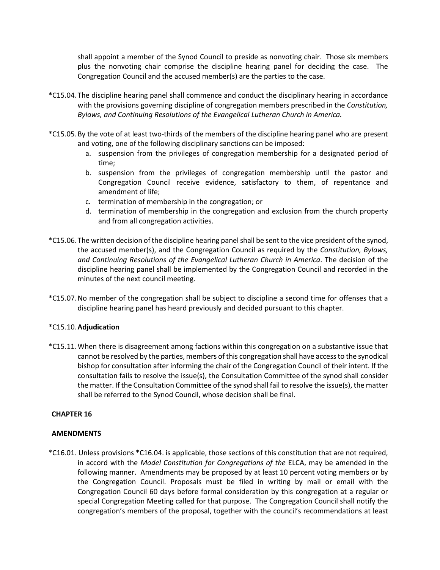shall appoint a member of the Synod Council to preside as nonvoting chair. Those six members plus the nonvoting chair comprise the discipline hearing panel for deciding the case. The Congregation Council and the accused member(s) are the parties to the case.

- **\***C15.04.The discipline hearing panel shall commence and conduct the disciplinary hearing in accordance with the provisions governing discipline of congregation members prescribed in the *Constitution, Bylaws, and Continuing Resolutions of the Evangelical Lutheran Church in America.*
- \*C15.05.By the vote of at least two-thirds of the members of the discipline hearing panel who are present and voting, one of the following disciplinary sanctions can be imposed:
	- a. suspension from the privileges of congregation membership for a designated period of time;
	- b. suspension from the privileges of congregation membership until the pastor and Congregation Council receive evidence, satisfactory to them, of repentance and amendment of life;
	- c. termination of membership in the congregation; or
	- d. termination of membership in the congregation and exclusion from the church property and from all congregation activities.
- \*C15.06.The written decision of the discipline hearing panel shall be sent to the vice president of the synod, the accused member(s), and the Congregation Council as required by the *Constitution, Bylaws, and Continuing Resolutions of the Evangelical Lutheran Church in America*. The decision of the discipline hearing panel shall be implemented by the Congregation Council and recorded in the minutes of the next council meeting.
- \*C15.07.No member of the congregation shall be subject to discipline a second time for offenses that a discipline hearing panel has heard previously and decided pursuant to this chapter.

## \*C15.10.**Adjudication**

\*C15.11.When there is disagreement among factions within this congregation on a substantive issue that cannot be resolved by the parties, members of this congregation shall have access to the synodical bishop for consultation after informing the chair of the Congregation Council of their intent. If the consultation fails to resolve the issue(s), the Consultation Committee of the synod shall consider the matter. If the Consultation Committee of the synod shall fail to resolve the issue(s), the matter shall be referred to the Synod Council, whose decision shall be final.

## **CHAPTER 16**

## **AMENDMENTS**

\*C16.01. Unless provisions \*C16.04. is applicable, those sections of this constitution that are not required, in accord with the *Model Constitution for Congregations of the* ELCA, may be amended in the following manner. Amendments may be proposed by at least 10 percent voting members or by the Congregation Council. Proposals must be filed in writing by mail or email with the Congregation Council 60 days before formal consideration by this congregation at a regular or special Congregation Meeting called for that purpose. The Congregation Council shall notify the congregation's members of the proposal, together with the council's recommendations at least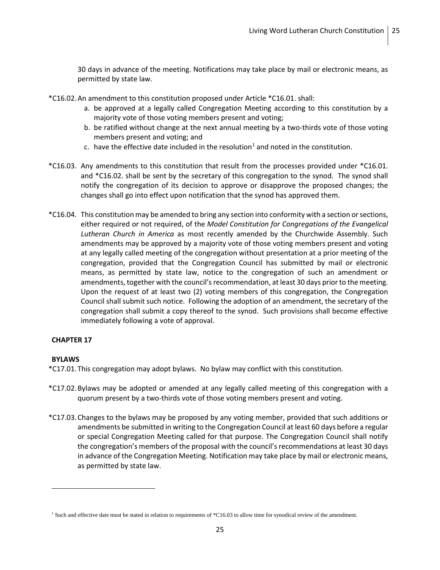30 days in advance of the meeting. Notifications may take place by mail or electronic means, as permitted by state law.

\*C16.02.An amendment to this constitution proposed under Article \*C16.01. shall:

- a. be approved at a legally called Congregation Meeting according to this constitution by a majority vote of those voting members present and voting;
- b. be ratified without change at the next annual meeting by a two-thirds vote of those voting members present and voting; and
- c. have the effective date included in the resolution<sup>[1](#page-25-0)</sup> and noted in the constitution.
- \*C16.03. Any amendments to this constitution that result from the processes provided under \*C16.01. and \*C16.02. shall be sent by the secretary of this congregation to the synod. The synod shall notify the congregation of its decision to approve or disapprove the proposed changes; the changes shall go into effect upon notification that the synod has approved them.
- \*C16.04. This constitution may be amended to bring any section into conformity with a section or sections, either required or not required, of the *Model Constitution for Congregations of the Evangelical Lutheran Church in America* as most recently amended by the Churchwide Assembly. Such amendments may be approved by a majority vote of those voting members present and voting at any legally called meeting of the congregation without presentation at a prior meeting of the congregation, provided that the Congregation Council has submitted by mail or electronic means, as permitted by state law, notice to the congregation of such an amendment or amendments, together with the council's recommendation, at least 30 days prior to the meeting. Upon the request of at least two (2) voting members of this congregation, the Congregation Council shall submit such notice. Following the adoption of an amendment, the secretary of the congregation shall submit a copy thereof to the synod. Such provisions shall become effective immediately following a vote of approval.

## **CHAPTER 17**

## **BYLAWS**

 $\overline{a}$ 

\*C17.01.This congregation may adopt bylaws. No bylaw may conflict with this constitution.

- \*C17.02.Bylaws may be adopted or amended at any legally called meeting of this congregation with a quorum present by a two-thirds vote of those voting members present and voting.
- \*C17.03.Changes to the bylaws may be proposed by any voting member, provided that such additions or amendments be submitted in writing to the Congregation Council at least 60 days before a regular or special Congregation Meeting called for that purpose. The Congregation Council shall notify the congregation's members of the proposal with the council's recommendations at least 30 days in advance of the Congregation Meeting. Notification may take place by mail or electronic means, as permitted by state law.

<span id="page-25-0"></span><sup>&</sup>lt;sup>1</sup> Such and effective date must be stated in relation to requirements of \*C16.03 to allow time for synodical review of the amendment.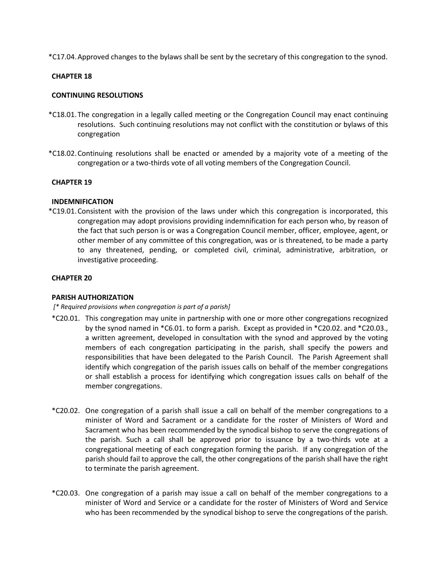\*C17.04.Approved changes to the bylaws shall be sent by the secretary of this congregation to the synod.

#### **CHAPTER 18**

#### **CONTINUING RESOLUTIONS**

- \*C18.01.The congregation in a legally called meeting or the Congregation Council may enact continuing resolutions. Such continuing resolutions may not conflict with the constitution or bylaws of this congregation
- \*C18.02.Continuing resolutions shall be enacted or amended by a majority vote of a meeting of the congregation or a two-thirds vote of all voting members of the Congregation Council.

#### **CHAPTER 19**

#### **INDEMNIFICATION**

\*C19.01.Consistent with the provision of the laws under which this congregation is incorporated, this congregation may adopt provisions providing indemnification for each person who, by reason of the fact that such person is or was a Congregation Council member, officer, employee, agent, or other member of any committee of this congregation, was or is threatened, to be made a party to any threatened, pending, or completed civil, criminal, administrative, arbitration, or investigative proceeding.

#### **CHAPTER 20**

#### **PARISH AUTHORIZATION**

#### *[\* Required provisions when congregation is part of a parish]*

- \*C20.01. This congregation may unite in partnership with one or more other congregations recognized by the synod named in \*C6.01. to form a parish. Except as provided in \*C20.02. and \*C20.03., a written agreement, developed in consultation with the synod and approved by the voting members of each congregation participating in the parish, shall specify the powers and responsibilities that have been delegated to the Parish Council. The Parish Agreement shall identify which congregation of the parish issues calls on behalf of the member congregations or shall establish a process for identifying which congregation issues calls on behalf of the member congregations.
- \*C20.02. One congregation of a parish shall issue a call on behalf of the member congregations to a minister of Word and Sacrament or a candidate for the roster of Ministers of Word and Sacrament who has been recommended by the synodical bishop to serve the congregations of the parish. Such a call shall be approved prior to issuance by a two-thirds vote at a congregational meeting of each congregation forming the parish. If any congregation of the parish should fail to approve the call, the other congregations of the parish shall have the right to terminate the parish agreement.
- \*C20.03. One congregation of a parish may issue a call on behalf of the member congregations to a minister of Word and Service or a candidate for the roster of Ministers of Word and Service who has been recommended by the synodical bishop to serve the congregations of the parish.